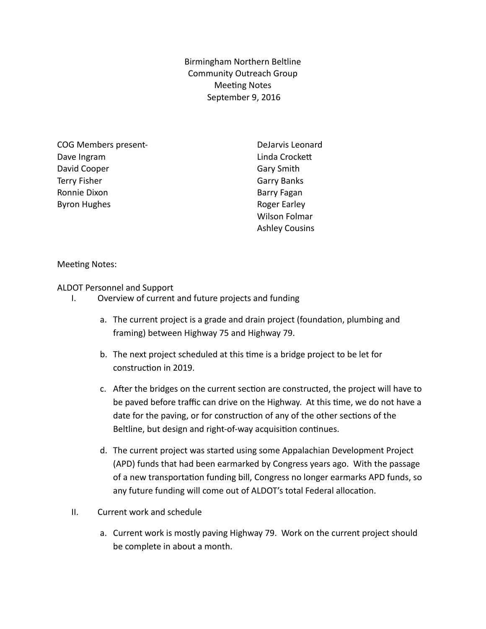Birmingham Northern Beltline Community Outreach Group **Meeting Notes** September 9, 2016

COG Members present-Dave Ingram David Cooper Terry Fisher Ronnie Dixon Byron Hughes

DeJarvis Leonard Linda Crockett Gary Smith Garry Banks Barry Fagan Roger Earley Wilson Folmar Ashley Cousins

Meeting Notes:

ALDOT Personnel and Support

- I. Overview of current and future projects and funding
	- a. The current project is a grade and drain project (foundation, plumbing and framing) between Highway 75 and Highway 79.
	- b. The next project scheduled at this time is a bridge project to be let for construction in 2019.
	- c. After the bridges on the current section are constructed, the project will have to be paved before traffic can drive on the Highway. At this time, we do not have a date for the paving, or for construction of any of the other sections of the Beltline, but design and right-of-way acquisition continues.
	- d. The current project was started using some Appalachian Development Project (APD) funds that had been earmarked by Congress years ago. With the passage of a new transportation funding bill, Congress no longer earmarks APD funds, so any future funding will come out of ALDOT's total Federal allocation.
- II. Current work and schedule
	- a. Current work is mostly paving Highway 79. Work on the current project should be complete in about a month.